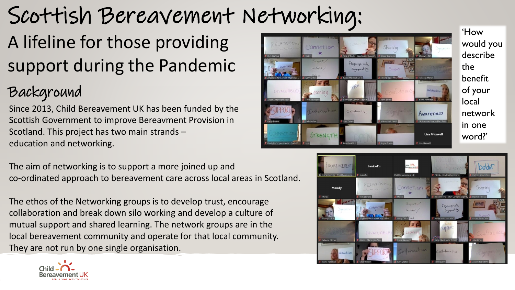# Scottish Bereavement Networking:

## A lifeline for those providing support during the Pandemic

### Background

Since 2013, Child Bereavement UK has been funded by the Scottish Government to improve Bereavment Provision in Scotland. This project has two main strands – education and networking.

The aim of networking is to support a more joined up and co-ordinated approach to bereavement care across local areas in Scotland.

The ethos of the Networking groups is to develop trust, encourage collaboration and break down silo working and develop a culture of mutual support and shared learning. The network groups are in the local bereavement community and operate for that local community. They are not run by one single organisation.



'How would you describe the benefit of your local network in one word?'



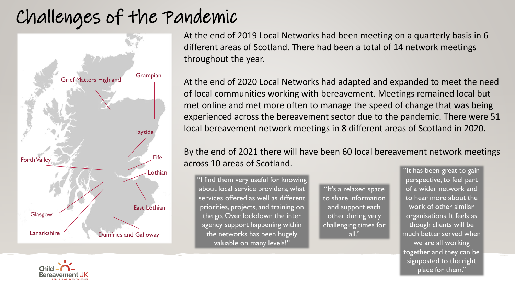### Challenges of the Pandemic



At the end of 2019 Local Networks had been meeting on a quarterly basis in 6 different areas of Scotland. There had been a total of 14 network meetings throughout the year.

At the end of 2020 Local Networks had adapted and expanded to meet the need of local communities working with bereavement. Meetings remained local but met online and met more often to manage the speed of change that was being experienced across the bereavement sector due to the pandemic. There were 51 local bereavement network meetings in 8 different areas of Scotland in 2020.

### By the end of 2021 there will have been 60 local bereavement network meetings across 10 areas of Scotland.

"I find them very useful for knowing about local service providers, what services offered as well as different priorities, projects, and training on the go. Over lockdown the inter agency support happening within the networks has been hugely valuable on many levels!"

"It's a relaxed space to share information and support each other during very challenging times for all."

"It has been great to gain perspective, to feel part of a wider network and to hear more about the work of other similar organisations. It feels as though clients will be much better served when we are all working together and they can be signposted to the right place for them."

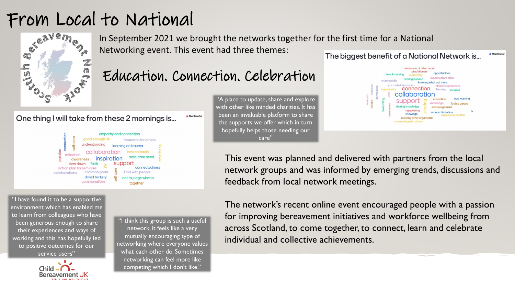### From Local to National



In September 2021 we brought the networks together for the first time for a National Networking event. This event had three themes: The biggest benefit of a National Network is...

### Education. Connection. Celebration

#### One thing I will take from these 2 mornings is... **M** Mentimeter



"I have found it to be a supportive environment which has enabled me to learn from colleagues who have been generous enough to share their experiences and ways of working and this has hopefully led to positive outcomes for our service users"

Child **- (** 

"I think this group is such a useful network, it feels like a very mutually encouraging type of networking where everyone values what each other do. Sometimes networking can feel more like competing which I don't like."

"A place to update, share and explore with other like minded charities. It has been an invaluable platform to share the supports we offer which in turn hopefully helps those needing our care"



This event was planned and delivered with partners from the local network groups and was informed by emerging trends, discussions and feedback from local network meetings.

The network's recent online event encouraged people with a passion for improving bereavement initiatives and workforce wellbeing from across Scotland, to come together, to connect, learn and celebrate individual and collective achievements.